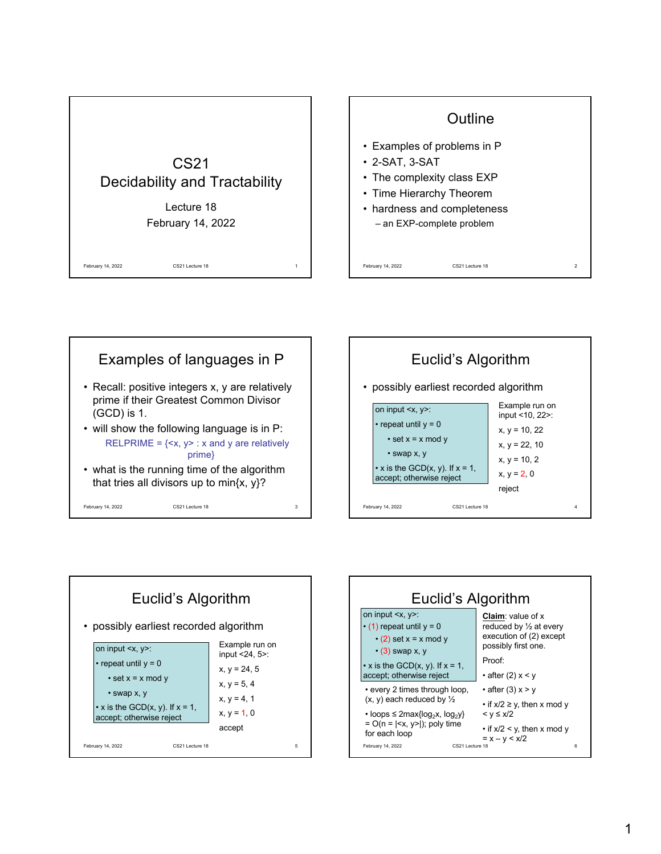









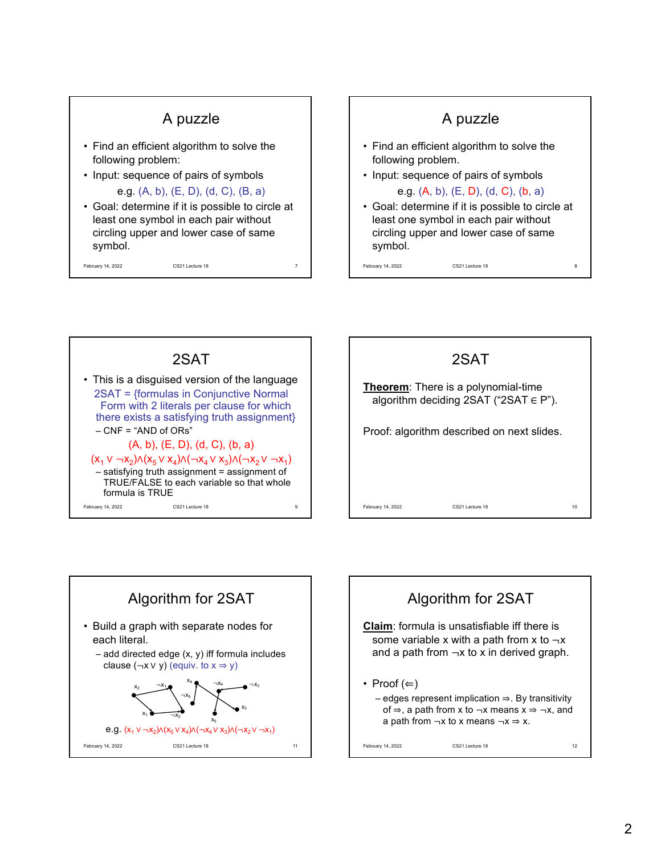









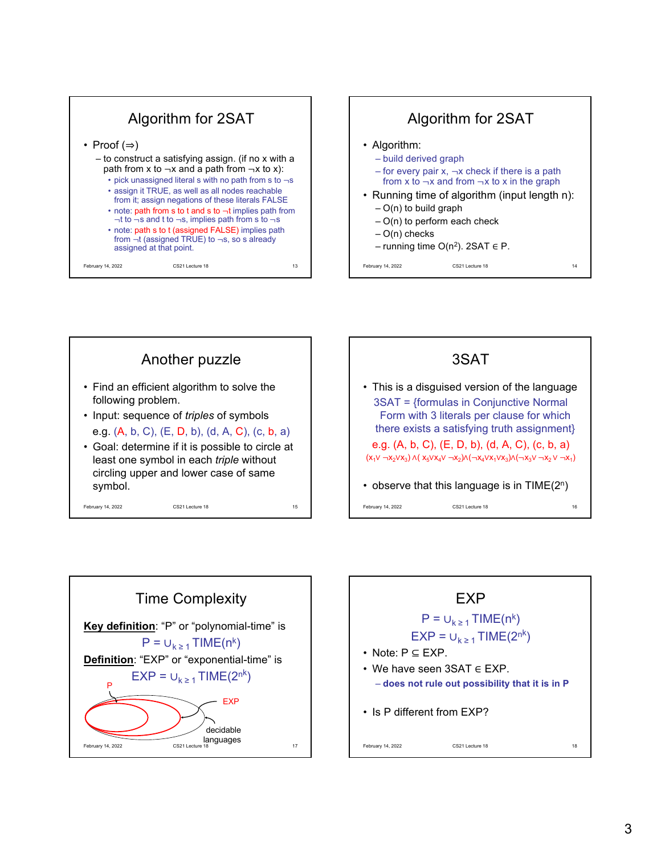









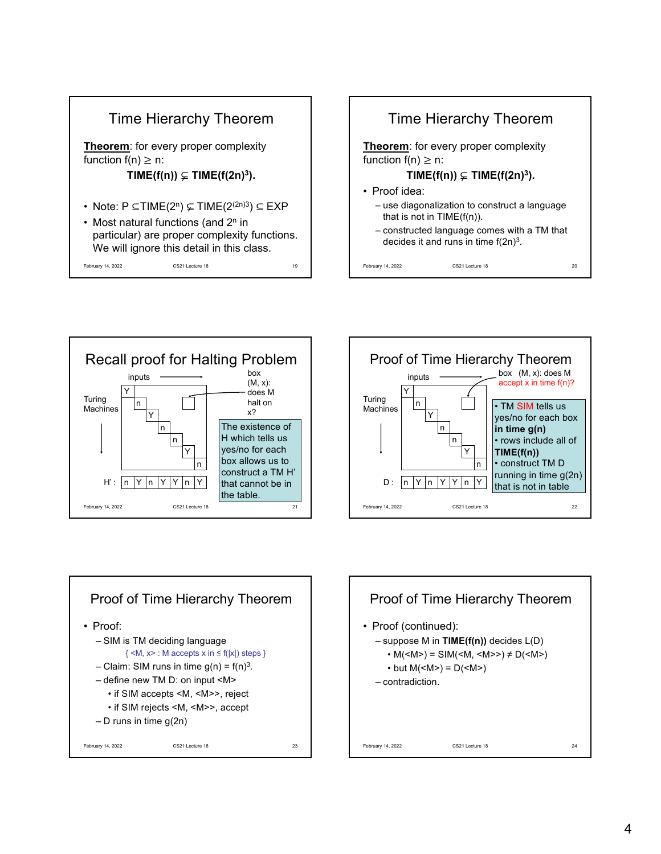